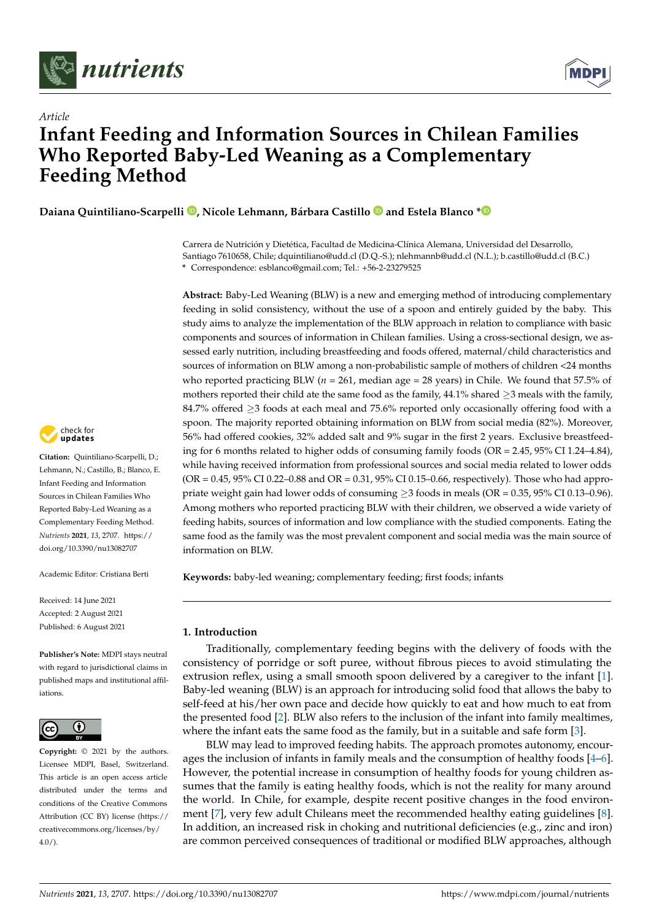



# *Article* **Infant Feeding and Information Sources in Chilean Families Who Reported Baby-Led Weaning as a Complementary Feeding Method**

**Daiana Quintiliano-Scarpelli [,](https://orcid.org/0000-0003-4317-4601) Nicole Lehmann, Bárbara Castillo and Estela Blanco [\\*](https://orcid.org/0000-0002-6232-9210)**

Carrera de Nutrición y Dietética, Facultad de Medicina-Clínica Alemana, Universidad del Desarrollo, Santiago 7610658, Chile; dquintiliano@udd.cl (D.Q.-S.); nlehmannb@udd.cl (N.L.); b.castillo@udd.cl (B.C.) **\*** Correspondence: esblanco@gmail.com; Tel.: +56-2-23279525

**Abstract:** Baby-Led Weaning (BLW) is a new and emerging method of introducing complementary feeding in solid consistency, without the use of a spoon and entirely guided by the baby. This study aims to analyze the implementation of the BLW approach in relation to compliance with basic components and sources of information in Chilean families. Using a cross-sectional design, we assessed early nutrition, including breastfeeding and foods offered, maternal/child characteristics and sources of information on BLW among a non-probabilistic sample of mothers of children <24 months who reported practicing BLW ( $n = 261$ , median age = 28 years) in Chile. We found that 57.5% of mothers reported their child ate the same food as the family, 44.1% shared ≥3 meals with the family, 84.7% offered ≥3 foods at each meal and 75.6% reported only occasionally offering food with a spoon. The majority reported obtaining information on BLW from social media (82%). Moreover, 56% had offered cookies, 32% added salt and 9% sugar in the first 2 years. Exclusive breastfeeding for 6 months related to higher odds of consuming family foods (OR = 2.45, 95% CI 1.24–4.84), while having received information from professional sources and social media related to lower odds (OR = 0.45, 95% CI 0.22–0.88 and OR = 0.31, 95% CI 0.15–0.66, respectively). Those who had appropriate weight gain had lower odds of consuming  $\geq$ 3 foods in meals (OR = 0.35, 95% CI 0.13–0.96). Among mothers who reported practicing BLW with their children, we observed a wide variety of feeding habits, sources of information and low compliance with the studied components. Eating the same food as the family was the most prevalent component and social media was the main source of information on BLW.

**Keywords:** baby-led weaning; complementary feeding; first foods; infants

# **1. Introduction**

Traditionally, complementary feeding begins with the delivery of foods with the consistency of porridge or soft puree, without fibrous pieces to avoid stimulating the extrusion reflex, using a small smooth spoon delivered by a caregiver to the infant [\[1\]](#page-7-0). Baby-led weaning (BLW) is an approach for introducing solid food that allows the baby to self-feed at his/her own pace and decide how quickly to eat and how much to eat from the presented food [\[2\]](#page-7-1). BLW also refers to the inclusion of the infant into family mealtimes, where the infant eats the same food as the family, but in a suitable and safe form [\[3\]](#page-7-2).

BLW may lead to improved feeding habits. The approach promotes autonomy, encourages the inclusion of infants in family meals and the consumption of healthy foods [\[4](#page-7-3)[–6\]](#page-7-4). However, the potential increase in consumption of healthy foods for young children assumes that the family is eating healthy foods, which is not the reality for many around the world. In Chile, for example, despite recent positive changes in the food environment [\[7\]](#page-7-5), very few adult Chileans meet the recommended healthy eating guidelines [\[8\]](#page-7-6). In addition, an increased risk in choking and nutritional deficiencies (e.g., zinc and iron) are common perceived consequences of traditional or modified BLW approaches, although



**Citation:** Quintiliano-Scarpelli, D.; Lehmann, N.; Castillo, B.; Blanco, E. Infant Feeding and Information Sources in Chilean Families Who Reported Baby-Led Weaning as a Complementary Feeding Method. *Nutrients* **2021**, *13*, 2707. [https://](https://doi.org/10.3390/nu13082707) [doi.org/10.3390/nu13082707](https://doi.org/10.3390/nu13082707)

Academic Editor: Cristiana Berti

Received: 14 June 2021 Accepted: 2 August 2021 Published: 6 August 2021

**Publisher's Note:** MDPI stays neutral with regard to jurisdictional claims in published maps and institutional affiliations.



**Copyright:** © 2021 by the authors. Licensee MDPI, Basel, Switzerland. This article is an open access article distributed under the terms and conditions of the Creative Commons Attribution (CC BY) license (https:/[/](https://creativecommons.org/licenses/by/4.0/) [creativecommons.org/licenses/by/](https://creativecommons.org/licenses/by/4.0/)  $4.0/$ ).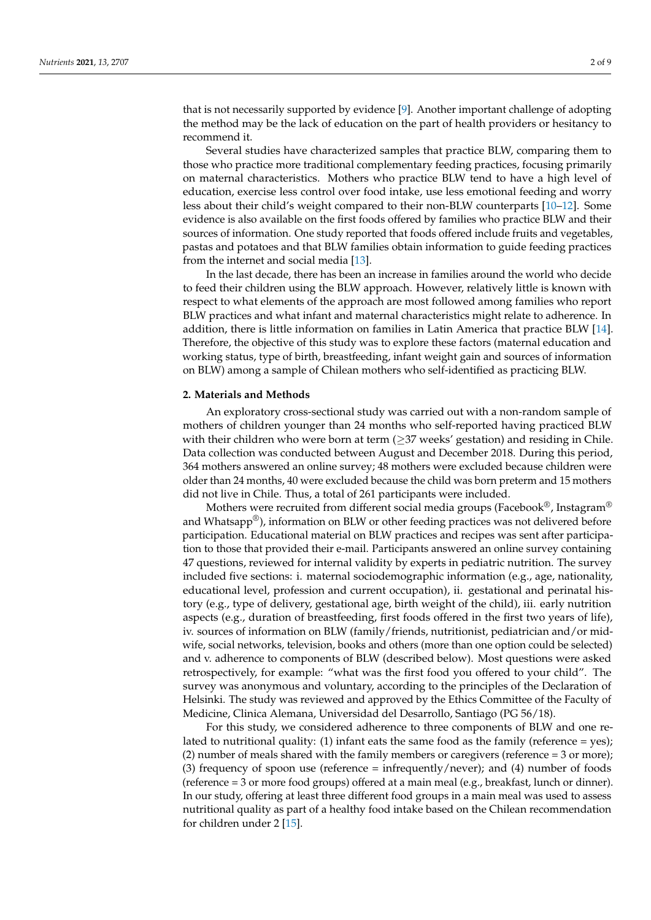that is not necessarily supported by evidence [\[9\]](#page-7-7). Another important challenge of adopting the method may be the lack of education on the part of health providers or hesitancy to recommend it.

Several studies have characterized samples that practice BLW, comparing them to those who practice more traditional complementary feeding practices, focusing primarily on maternal characteristics. Mothers who practice BLW tend to have a high level of education, exercise less control over food intake, use less emotional feeding and worry less about their child's weight compared to their non-BLW counterparts [\[10](#page-7-8)[–12\]](#page-8-0). Some evidence is also available on the first foods offered by families who practice BLW and their sources of information. One study reported that foods offered include fruits and vegetables, pastas and potatoes and that BLW families obtain information to guide feeding practices from the internet and social media [\[13\]](#page-8-1).

In the last decade, there has been an increase in families around the world who decide to feed their children using the BLW approach. However, relatively little is known with respect to what elements of the approach are most followed among families who report BLW practices and what infant and maternal characteristics might relate to adherence. In addition, there is little information on families in Latin America that practice BLW [\[14\]](#page-8-2). Therefore, the objective of this study was to explore these factors (maternal education and working status, type of birth, breastfeeding, infant weight gain and sources of information on BLW) among a sample of Chilean mothers who self-identified as practicing BLW.

#### **2. Materials and Methods**

An exploratory cross-sectional study was carried out with a non-random sample of mothers of children younger than 24 months who self-reported having practiced BLW with their children who were born at term  $(\geq 37$  weeks' gestation) and residing in Chile. Data collection was conducted between August and December 2018. During this period, 364 mothers answered an online survey; 48 mothers were excluded because children were older than 24 months, 40 were excluded because the child was born preterm and 15 mothers did not live in Chile. Thus, a total of 261 participants were included.

Mothers were recruited from different social media groups (Facebook®, Instagram® and Whatsapp $\mathcal{P}(\mathcal{P})$ , information on BLW or other feeding practices was not delivered before participation. Educational material on BLW practices and recipes was sent after participation to those that provided their e-mail. Participants answered an online survey containing 47 questions, reviewed for internal validity by experts in pediatric nutrition. The survey included five sections: i. maternal sociodemographic information (e.g., age, nationality, educational level, profession and current occupation), ii. gestational and perinatal history (e.g., type of delivery, gestational age, birth weight of the child), iii. early nutrition aspects (e.g., duration of breastfeeding, first foods offered in the first two years of life), iv. sources of information on BLW (family/friends, nutritionist, pediatrician and/or midwife, social networks, television, books and others (more than one option could be selected) and v. adherence to components of BLW (described below). Most questions were asked retrospectively, for example: "what was the first food you offered to your child". The survey was anonymous and voluntary, according to the principles of the Declaration of Helsinki. The study was reviewed and approved by the Ethics Committee of the Faculty of Medicine, Clinica Alemana, Universidad del Desarrollo, Santiago (PG 56/18).

For this study, we considered adherence to three components of BLW and one related to nutritional quality: (1) infant eats the same food as the family (reference  $=$  yes); (2) number of meals shared with the family members or caregivers (reference = 3 or more); (3) frequency of spoon use (reference = infrequently/never); and (4) number of foods (reference = 3 or more food groups) offered at a main meal (e.g., breakfast, lunch or dinner). In our study, offering at least three different food groups in a main meal was used to assess nutritional quality as part of a healthy food intake based on the Chilean recommendation for children under 2 [\[15\]](#page-8-3).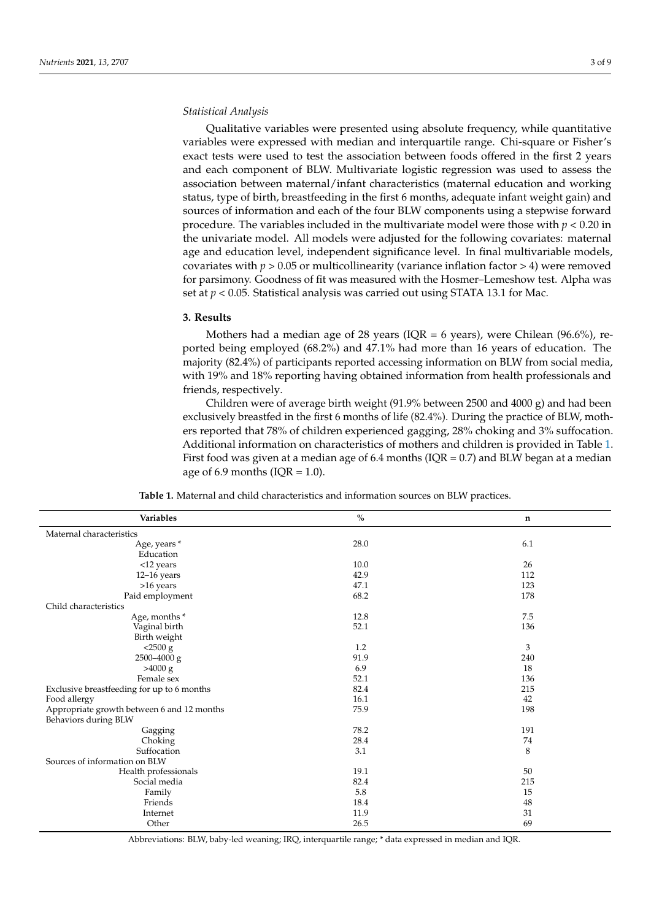## *Statistical Analysis*

Qualitative variables were presented using absolute frequency, while quantitative variables were expressed with median and interquartile range. Chi-square or Fisher's exact tests were used to test the association between foods offered in the first 2 years and each component of BLW. Multivariate logistic regression was used to assess the association between maternal/infant characteristics (maternal education and working status, type of birth, breastfeeding in the first 6 months, adequate infant weight gain) and sources of information and each of the four BLW components using a stepwise forward procedure. The variables included in the multivariate model were those with *p* < 0.20 in the univariate model. All models were adjusted for the following covariates: maternal age and education level, independent significance level. In final multivariable models, covariates with  $p > 0.05$  or multicollinearity (variance inflation factor  $> 4$ ) were removed for parsimony. Goodness of fit was measured with the Hosmer–Lemeshow test. Alpha was set at  $p < 0.05$ . Statistical analysis was carried out using STATA 13.1 for Mac.

#### **3. Results**

Mothers had a median age of 28 years (IQR = 6 years), were Chilean (96.6%), reported being employed (68.2%) and 47.1% had more than 16 years of education. The majority (82.4%) of participants reported accessing information on BLW from social media, with 19% and 18% reporting having obtained information from health professionals and friends, respectively.

Children were of average birth weight (91.9% between 2500 and 4000 g) and had been exclusively breastfed in the first 6 months of life (82.4%). During the practice of BLW, mothers reported that 78% of children experienced gagging, 28% choking and 3% suffocation. Additional information on characteristics of mothers and children is provided in Table [1.](#page-2-0) First food was given at a median age of 6.4 months ( $IQR = 0.7$ ) and BLW began at a median age of 6.9 months ( $IQR = 1.0$ ).

<span id="page-2-0"></span>

| Variables                                  | $\frac{0}{0}$ | $\mathbf n$ |
|--------------------------------------------|---------------|-------------|
| Maternal characteristics                   |               |             |
| Age, years *<br>Education                  | 28.0          | 6.1         |
| <12 years                                  | 10.0          | 26          |
| $12-16$ years                              | 42.9          | 112         |
| >16 years                                  | 47.1          | 123         |
| Paid employment                            | 68.2          | 178         |
| Child characteristics                      |               |             |
| Age, months *                              | 12.8          | 7.5         |
| Vaginal birth                              | 52.1          | 136         |
| Birth weight                               |               |             |
| $<$ 2500 g                                 | 1.2           | 3           |
| $2500 - 4000$ g                            | 91.9          | 240         |
| >4000 g                                    | 6.9           | 18          |
| Female sex                                 | 52.1          | 136         |
| Exclusive breastfeeding for up to 6 months | 82.4          | 215         |
| Food allergy                               | 16.1          | 42          |
| Appropriate growth between 6 and 12 months | 75.9          | 198         |
| Behaviors during BLW                       |               |             |
| Gagging                                    | 78.2          | 191         |
| Choking                                    | 28.4          | 74          |
| Suffocation                                | 3.1           | 8           |
| Sources of information on BLW              |               |             |
| Health professionals                       | 19.1          | 50          |
| Social media                               | 82.4          | 215         |
| Family                                     | 5.8           | 15          |
| Friends                                    | 18.4          | 48          |
| Internet                                   | 11.9          | 31          |
| Other                                      | 26.5          | 69          |

**Table 1.** Maternal and child characteristics and information sources on BLW practices.

Abbreviations: BLW, baby-led weaning; IRQ, interquartile range; \* data expressed in median and IQR.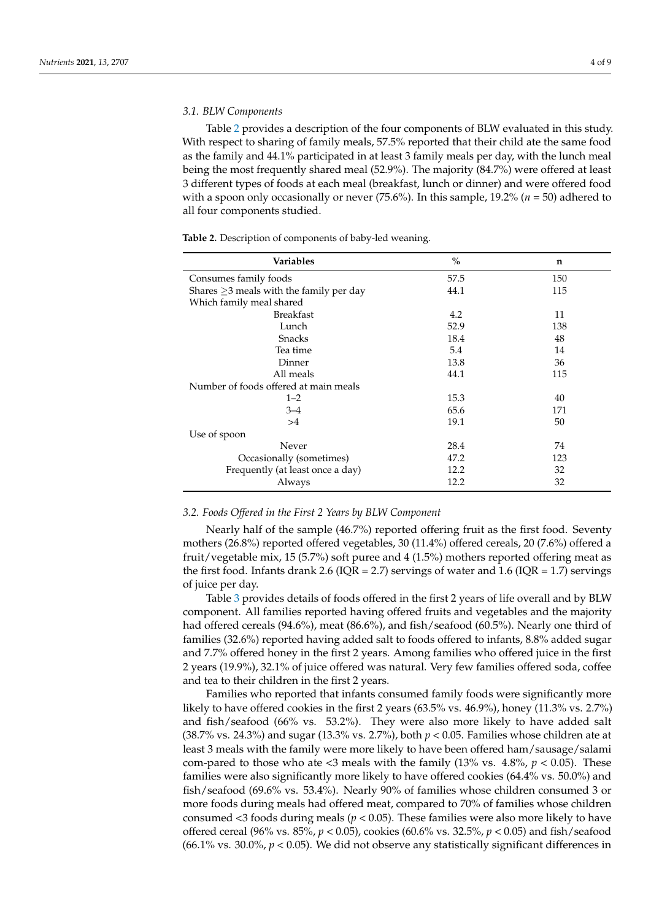## *3.1. BLW Components*

Table [2](#page-3-0) provides a description of the four components of BLW evaluated in this study. With respect to sharing of family meals, 57.5% reported that their child ate the same food as the family and 44.1% participated in at least 3 family meals per day, with the lunch meal being the most frequently shared meal (52.9%). The majority (84.7%) were offered at least 3 different types of foods at each meal (breakfast, lunch or dinner) and were offered food with a spoon only occasionally or never  $(75.6\%)$ . In this sample,  $19.2\%$   $(n = 50)$  adhered to all four components studied.

<span id="page-3-0"></span>**Table 2.** Description of components of baby-led weaning.

| <b>Variables</b>                              | $\frac{0}{0}$ | n   |
|-----------------------------------------------|---------------|-----|
| Consumes family foods                         | 57.5          | 150 |
| Shares $\geq$ 3 meals with the family per day | 44.1          | 115 |
| Which family meal shared                      |               |     |
| <b>Breakfast</b>                              | 4.2           | 11  |
| Lunch                                         | 52.9          | 138 |
| <b>Snacks</b>                                 | 18.4          | 48  |
| Tea time                                      | 5.4           | 14  |
| Dinner                                        | 13.8          | 36  |
| All meals                                     | 44.1          | 115 |
| Number of foods offered at main meals         |               |     |
| $1 - 2$                                       | 15.3          | 40  |
| $3 - 4$                                       | 65.6          | 171 |
| >4                                            | 19.1          | 50  |
| Use of spoon                                  |               |     |
| Never                                         | 28.4          | 74  |
| Occasionally (sometimes)                      | 47.2          | 123 |
| Frequently (at least once a day)              | 12.2          | 32  |
| Always                                        | 12.2          | 32  |

## *3.2. Foods Offered in the First 2 Years by BLW Component*

Nearly half of the sample (46.7%) reported offering fruit as the first food. Seventy mothers (26.8%) reported offered vegetables, 30 (11.4%) offered cereals, 20 (7.6%) offered a fruit/vegetable mix, 15 (5.7%) soft puree and 4 (1.5%) mothers reported offering meat as the first food. Infants drank 2.6 (IQR = 2.7) servings of water and 1.6 (IQR = 1.7) servings of juice per day.

Table [3](#page-4-0) provides details of foods offered in the first 2 years of life overall and by BLW component. All families reported having offered fruits and vegetables and the majority had offered cereals (94.6%), meat (86.6%), and fish/seafood (60.5%). Nearly one third of families (32.6%) reported having added salt to foods offered to infants, 8.8% added sugar and 7.7% offered honey in the first 2 years. Among families who offered juice in the first 2 years (19.9%), 32.1% of juice offered was natural. Very few families offered soda, coffee and tea to their children in the first 2 years.

Families who reported that infants consumed family foods were significantly more likely to have offered cookies in the first 2 years (63.5% vs. 46.9%), honey (11.3% vs. 2.7%) and fish/seafood (66% vs. 53.2%). They were also more likely to have added salt (38.7% vs. 24.3%) and sugar (13.3% vs. 2.7%), both *p* < 0.05. Families whose children ate at least 3 meals with the family were more likely to have been offered ham/sausage/salami com-pared to those who ate  $\langle 3 \rangle$  meals with the family (13% vs. 4.8%,  $p \langle 0.05 \rangle$ ). These families were also significantly more likely to have offered cookies (64.4% vs. 50.0%) and fish/seafood (69.6% vs. 53.4%). Nearly 90% of families whose children consumed 3 or more foods during meals had offered meat, compared to 70% of families whose children consumed  $\langle$ 3 foods during meals ( $p$   $\langle$  0.05). These families were also more likely to have offered cereal (96% vs. 85%, *p* < 0.05), cookies (60.6% vs. 32.5%, *p* < 0.05) and fish/seafood (66.1% vs. 30.0%,  $p < 0.05$ ). We did not observe any statistically significant differences in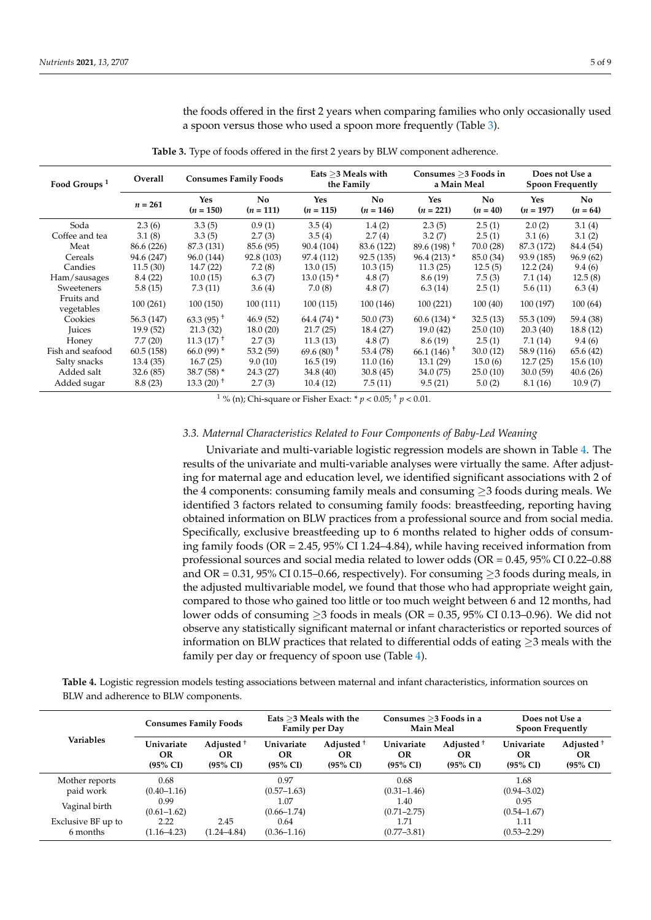the foods offered in the first 2 years when comparing families who only occasionally used a spoon versus those who used a spoon more frequently (Table [3\)](#page-4-0).

<span id="page-4-0"></span>**Food Groups <sup>1</sup> Overall Consumes Family Foods Eats** <sup>≥</sup>**3 Meals with the Family Consumes** ≥**3 Foods in a Main Meal Does not Use a Spoon Frequently**  $n = 261$  Yes **(***n =* **150) No (***n =* **111) Yes (***n =* **115) No (***n =* **146) Yes (***n =* **221) No (***n =* **40) Yes (***n =* **197) No (***n =* **64)** Soda 2.3 (6) 3.3 (5) 0.9 (1) 3.5 (4) 1.4 (2) 2.3 (5) 2.5 (1) 2.0 (2) 3.1 (4) Coffee and tea  $3.1 (8)$   $3.3 (5)$   $2.7 (3)$   $3.5 (4)$   $2.7 (4)$   $3.2 (7)$   $2.5 (1)$   $3.1 (6)$   $3.1 (2)$ Meat 86.6 (226) 87.3 (131) 85.6 (95) 90.4 (104) 83.6 (122) 89.6 (198) † 70.0 (28) 87.3 (172) 84.4 (54) Cereals 94.6 (247) 96.0 (144) 92.8 (103) 97.4 (112) 92.5 (135) 96.4 (213) \* 85.0 (34) 93.9 (185) 96.9 (62) Candies 11.5 (30) 14.7 (22) 7.2 (8) 13.0 (15) 10.3 (15) 11.3 (25) 12.5 (5) 12.2 (24) 9.4 (6) Ham/sausages 8.4 (22) 10.0 (15) 6.3 (7) 13.0 (15) \* 4.8 (7) 8.6 (19) 7.5 (3) 7.1 (14) 12.5 (8) Sweeteners 5.8 (15) 7.3 (11) 3.6 (4) 7.0 (8) 4.8 (7) 6.3 (14) 2.5 (1) 5.6 (11) 6.3 (4) Fruits and vegetables 100 (261) 100 (150) 100 (111) 100 (115) 100 (146) 100 (221) 100 (40) 100 (197) 100 (64) Cookies  $56.3 \,(147)$   $63.3 \,(95)^{\dagger}$   $46.9 \,(52)$   $64.4 \,(74)^{\dagger}$   $50.0 \,(73)$   $60.6 \,(134)^{\dagger}$   $32.5 \,(13)$   $55.3 \,(109)$   $59.4 \,(38)$ Juices 19.9 (52) 21.3 (32) 18.0 (20) 21.7 (25) 18.4 (27) 19.0 (42) 25.0 (10) 20.3 (40) 18.8 (12) Honey 7.7 (20)  $11.3 \times (17)^+$  2.7 (3)  $11.3 \times (13)$  4.8 (7)  $8.6 \times (19)$  2.5 (1) 7.1 (14) 9.4 (6) Fish and seafood 60.5 (158) 66.0 (99) \* 53.2 (59) 69.6 (80)  $^+$  53.4 (78) 66.1 (146)  $^+$  30.0 (12) 58.9 (116) 65.6 (42) Salty snacks 13.4 (35) 16.7 (25) 9.0 (10) 16.5 (19) 11.0 (16) 13.1 (29) 15.0 (6) 12.7 (25) 15.6 (10) Added salt 32.6 (85) 38.7 (58) \* 24.3 (27) 34.8 (40) 30.8 (45) 34.0 (75) 25.0 (10) 30.0 (59) 40.6 (26) Added sugar  $8.8(23)$   $13.3(20)$ <sup>+</sup>  $2.7(3)$   $10.4(12)$   $7.5(11)$   $9.5(21)$   $5.0(2)$   $8.1(16)$   $10.9(7)$ 

**Table 3.** Type of foods offered in the first 2 years by BLW component adherence.

<sup>1</sup> % (n); Chi-square or Fisher Exact:  $* p < 0.05$ ;  $* p < 0.01$ .

#### *3.3. Maternal Characteristics Related to Four Components of Baby-Led Weaning*

Univariate and multi-variable logistic regression models are shown in Table [4.](#page-5-0) The results of the univariate and multi-variable analyses were virtually the same. After adjusting for maternal age and education level, we identified significant associations with 2 of the 4 components: consuming family meals and consuming  $\geq$ 3 foods during meals. We identified 3 factors related to consuming family foods: breastfeeding, reporting having obtained information on BLW practices from a professional source and from social media. Specifically, exclusive breastfeeding up to 6 months related to higher odds of consuming family foods (OR = 2.45, 95% CI 1.24–4.84), while having received information from professional sources and social media related to lower odds (OR = 0.45, 95% CI 0.22–0.88 and OR = 0.31, 95% CI 0.15–0.66, respectively). For consuming  $\geq$ 3 foods during meals, in the adjusted multivariable model, we found that those who had appropriate weight gain, compared to those who gained too little or too much weight between 6 and 12 months, had lower odds of consuming  $\geq$ 3 foods in meals (OR = 0.35, 95% CI 0.13–0.96). We did not observe any statistically significant maternal or infant characteristics or reported sources of information on BLW practices that related to differential odds of eating  $\geq$ 3 meals with the family per day or frequency of spoon use (Table [4\)](#page-5-0).

**Table 4.** Logistic regression models testing associations between maternal and infant characteristics, information sources on BLW and adherence to BLW components.

| <b>Consumes Family Foods</b>            |                                                    | Eats $>$ 3 Meals with the<br><b>Family per Day</b> |                                                           | Consumes >3 Foods in a<br><b>Main Meal</b> |                                                    | Does not Use a<br>Spoon Frequently             |                                                  |
|-----------------------------------------|----------------------------------------------------|----------------------------------------------------|-----------------------------------------------------------|--------------------------------------------|----------------------------------------------------|------------------------------------------------|--------------------------------------------------|
| Univariate<br>OR<br>$(95\% \text{ CI})$ | Adjusted <sup>+</sup><br>OR<br>$(95\% \text{ CI})$ | Univariate<br>OR<br>$(95\% \text{ CI})$            | Adjusted <sup>+</sup><br><b>OR</b><br>$(95\% \text{ CI})$ | Univariate<br>OR<br>$(95\% \text{ CI})$    | Adjusted <sup>+</sup><br>OR<br>$(95\% \text{ CI})$ | Univariate<br><b>OR</b><br>$(95\% \text{ CI})$ | Adjusted $+$<br><b>OR</b><br>$(95\% \text{ CI})$ |
| 0.68                                    |                                                    | 0.97                                               |                                                           | 0.68                                       |                                                    | 1.68                                           |                                                  |
| $(0.40 - 1.16)$                         |                                                    | $(0.57 - 1.63)$                                    |                                                           | $(0.31 - 1.46)$                            |                                                    | $(0.94 - 3.02)$                                |                                                  |
| 0.99                                    |                                                    | 1.07                                               |                                                           | 1.40                                       |                                                    | 0.95                                           |                                                  |
| Vaginal birth<br>$(0.61 - 1.62)$        |                                                    | $(0.66 - 1.74)$                                    |                                                           | $(0.71 - 2.75)$                            |                                                    | $(0.54 - 1.67)$                                |                                                  |
| 2.22                                    | 2.45                                               | 0.64                                               |                                                           | 1.71                                       |                                                    | 1.11                                           |                                                  |
| $(1.16 - 4.23)$                         | $(1.24 - 4.84)$                                    | $(0.36 - 1.16)$                                    |                                                           | $(0.77 - 3.81)$                            |                                                    | $(0.53 - 2.29)$                                |                                                  |
|                                         |                                                    |                                                    |                                                           |                                            |                                                    |                                                |                                                  |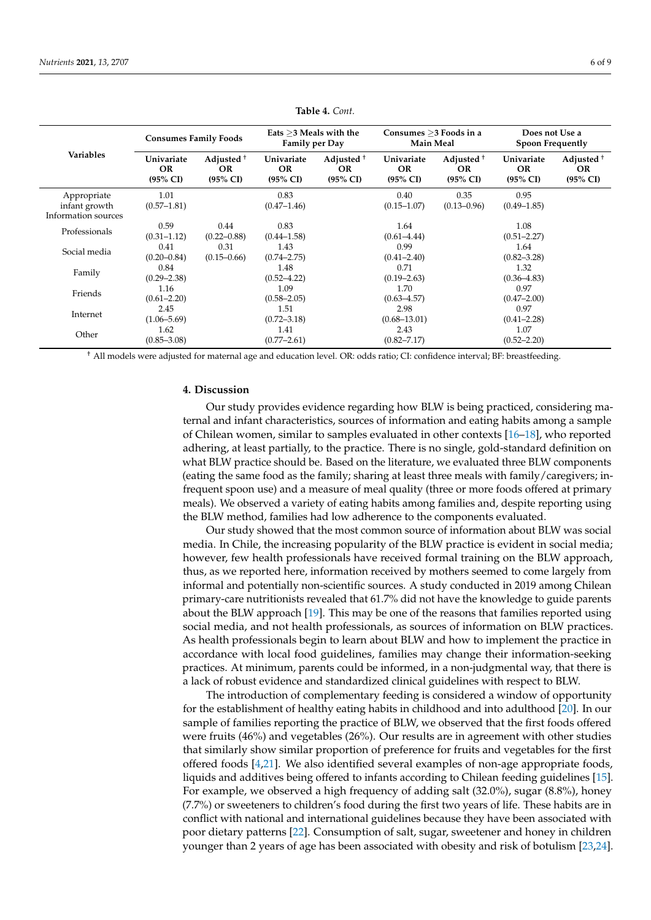<span id="page-5-0"></span>

| <b>Variables</b>    | <b>Consumes Family Foods</b>             |                                                           | Eats $>$ 3 Meals with the<br><b>Family per Day</b> |                                                     | Consumes $>3$ Foods in a<br><b>Main Meal</b>   |                                                     | Does not Use a<br><b>Spoon Frequently</b>      |                                                     |
|---------------------|------------------------------------------|-----------------------------------------------------------|----------------------------------------------------|-----------------------------------------------------|------------------------------------------------|-----------------------------------------------------|------------------------------------------------|-----------------------------------------------------|
|                     | Univariate<br>OR.<br>$(95\% \text{ CI})$ | Adjusted <sup>+</sup><br><b>OR</b><br>$(95\% \text{ CI})$ | Univariate<br>OR.<br>$(95\% \text{ CI})$           | Adjusted <sup>+</sup><br>OR.<br>$(95\% \text{ CI})$ | Univariate<br><b>OR</b><br>$(95\% \text{ CI})$ | Adjusted <sup>+</sup><br>OR.<br>$(95\% \text{ CI})$ | Univariate<br><b>OR</b><br>$(95\% \text{ CI})$ | Adjusted <sup>+</sup><br>OR.<br>$(95\% \text{ CI})$ |
| Appropriate         | 1.01                                     |                                                           | 0.83                                               |                                                     | 0.40                                           | 0.35                                                | 0.95                                           |                                                     |
| infant growth       | $(0.57 - 1.81)$                          |                                                           | $(0.47 - 1.46)$                                    |                                                     | $(0.15 - 1.07)$                                | $(0.13 - 0.96)$                                     | $(0.49 - 1.85)$                                |                                                     |
| Information sources |                                          |                                                           |                                                    |                                                     |                                                |                                                     |                                                |                                                     |
| Professionals       | 0.59                                     | 0.44                                                      | 0.83                                               |                                                     | 1.64                                           |                                                     | 1.08                                           |                                                     |
|                     | $(0.31 - 1.12)$                          | $(0.22 - 0.88)$                                           | $(0.44 - 1.58)$                                    |                                                     | $(0.61 - 4.44)$                                |                                                     | $(0.51 - 2.27)$                                |                                                     |
| Social media        | 0.41                                     | 0.31                                                      | 1.43                                               |                                                     | 0.99                                           |                                                     | 1.64                                           |                                                     |
|                     | $(0.20 - 0.84)$                          | $(0.15 - 0.66)$                                           | $(0.74 - 2.75)$                                    |                                                     | $(0.41 - 2.40)$                                |                                                     | $(0.82 - 3.28)$                                |                                                     |
|                     | 0.84                                     |                                                           | 1.48                                               |                                                     | 0.71                                           |                                                     | 1.32                                           |                                                     |
| Family              | $(0.29 - 2.38)$<br>$(0.52 - 4.22)$       |                                                           |                                                    | $(0.19 - 2.63)$                                     |                                                | $(0.36 - 4.83)$                                     |                                                |                                                     |
| 1.16<br>Friends     |                                          |                                                           | 1.09                                               |                                                     | 1.70                                           |                                                     | 0.97                                           |                                                     |
|                     | $(0.61 - 2.20)$                          |                                                           | $(0.58 - 2.05)$                                    |                                                     | $(0.63 - 4.57)$                                |                                                     | $(0.47 - 2.00)$                                |                                                     |
| Internet            | 2.45                                     |                                                           | 1.51                                               |                                                     | 2.98                                           |                                                     | 0.97                                           |                                                     |
|                     | $(1.06 - 5.69)$                          |                                                           | $(0.72 - 3.18)$                                    |                                                     | $(0.68 - 13.01)$                               |                                                     | $(0.41 - 2.28)$                                |                                                     |
| Other               | 1.62                                     |                                                           | 1.41                                               |                                                     | 2.43                                           |                                                     | 1.07                                           |                                                     |
|                     | $(0.85 - 3.08)$                          |                                                           | $(0.77 - 2.61)$                                    |                                                     | $(0.82 - 7.17)$                                |                                                     | $(0.52 - 2.20)$                                |                                                     |

**Table 4.** *Cont.*

† All models were adjusted for maternal age and education level. OR: odds ratio; CI: confidence interval; BF: breastfeeding.

## **4. Discussion**

Our study provides evidence regarding how BLW is being practiced, considering maternal and infant characteristics, sources of information and eating habits among a sample of Chilean women, similar to samples evaluated in other contexts [\[16–](#page-8-4)[18\]](#page-8-5), who reported adhering, at least partially, to the practice. There is no single, gold-standard definition on what BLW practice should be. Based on the literature, we evaluated three BLW components (eating the same food as the family; sharing at least three meals with family/caregivers; infrequent spoon use) and a measure of meal quality (three or more foods offered at primary meals). We observed a variety of eating habits among families and, despite reporting using the BLW method, families had low adherence to the components evaluated.

Our study showed that the most common source of information about BLW was social media. In Chile, the increasing popularity of the BLW practice is evident in social media; however, few health professionals have received formal training on the BLW approach, thus, as we reported here, information received by mothers seemed to come largely from informal and potentially non-scientific sources. A study conducted in 2019 among Chilean primary-care nutritionists revealed that 61.7% did not have the knowledge to guide parents about the BLW approach [\[19\]](#page-8-6). This may be one of the reasons that families reported using social media, and not health professionals, as sources of information on BLW practices. As health professionals begin to learn about BLW and how to implement the practice in accordance with local food guidelines, families may change their information-seeking practices. At minimum, parents could be informed, in a non-judgmental way, that there is a lack of robust evidence and standardized clinical guidelines with respect to BLW.

The introduction of complementary feeding is considered a window of opportunity for the establishment of healthy eating habits in childhood and into adulthood [\[20\]](#page-8-7). In our sample of families reporting the practice of BLW, we observed that the first foods offered were fruits (46%) and vegetables (26%). Our results are in agreement with other studies that similarly show similar proportion of preference for fruits and vegetables for the first offered foods [\[4](#page-7-3)[,21\]](#page-8-8). We also identified several examples of non-age appropriate foods, liquids and additives being offered to infants according to Chilean feeding guidelines [\[15\]](#page-8-3). For example, we observed a high frequency of adding salt (32.0%), sugar (8.8%), honey (7.7%) or sweeteners to children's food during the first two years of life. These habits are in conflict with national and international guidelines because they have been associated with poor dietary patterns [\[22\]](#page-8-9). Consumption of salt, sugar, sweetener and honey in children younger than 2 years of age has been associated with obesity and risk of botulism [\[23,](#page-8-10)[24\]](#page-8-11).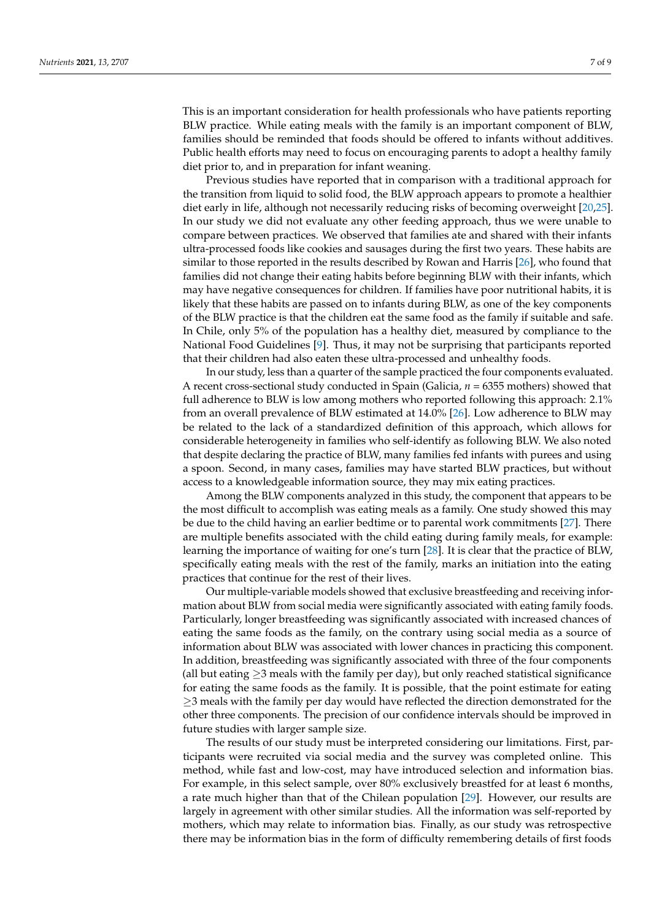This is an important consideration for health professionals who have patients reporting BLW practice. While eating meals with the family is an important component of BLW, families should be reminded that foods should be offered to infants without additives. Public health efforts may need to focus on encouraging parents to adopt a healthy family diet prior to, and in preparation for infant weaning.

Previous studies have reported that in comparison with a traditional approach for the transition from liquid to solid food, the BLW approach appears to promote a healthier diet early in life, although not necessarily reducing risks of becoming overweight [\[20,](#page-8-7)[25\]](#page-8-12). In our study we did not evaluate any other feeding approach, thus we were unable to compare between practices. We observed that families ate and shared with their infants ultra-processed foods like cookies and sausages during the first two years. These habits are similar to those reported in the results described by Rowan and Harris [\[26\]](#page-8-13), who found that families did not change their eating habits before beginning BLW with their infants, which may have negative consequences for children. If families have poor nutritional habits, it is likely that these habits are passed on to infants during BLW, as one of the key components of the BLW practice is that the children eat the same food as the family if suitable and safe. In Chile, only 5% of the population has a healthy diet, measured by compliance to the National Food Guidelines [\[9\]](#page-7-7). Thus, it may not be surprising that participants reported that their children had also eaten these ultra-processed and unhealthy foods.

In our study, less than a quarter of the sample practiced the four components evaluated. A recent cross-sectional study conducted in Spain (Galicia, *n* = 6355 mothers) showed that full adherence to BLW is low among mothers who reported following this approach: 2.1% from an overall prevalence of BLW estimated at 14.0% [\[26\]](#page-8-13). Low adherence to BLW may be related to the lack of a standardized definition of this approach, which allows for considerable heterogeneity in families who self-identify as following BLW. We also noted that despite declaring the practice of BLW, many families fed infants with purees and using a spoon. Second, in many cases, families may have started BLW practices, but without access to a knowledgeable information source, they may mix eating practices.

Among the BLW components analyzed in this study, the component that appears to be the most difficult to accomplish was eating meals as a family. One study showed this may be due to the child having an earlier bedtime or to parental work commitments [\[27\]](#page-8-14). There are multiple benefits associated with the child eating during family meals, for example: learning the importance of waiting for one's turn [\[28\]](#page-8-15). It is clear that the practice of BLW, specifically eating meals with the rest of the family, marks an initiation into the eating practices that continue for the rest of their lives.

Our multiple-variable models showed that exclusive breastfeeding and receiving information about BLW from social media were significantly associated with eating family foods. Particularly, longer breastfeeding was significantly associated with increased chances of eating the same foods as the family, on the contrary using social media as a source of information about BLW was associated with lower chances in practicing this component. In addition, breastfeeding was significantly associated with three of the four components (all but eating  $\geq$ 3 meals with the family per day), but only reached statistical significance for eating the same foods as the family. It is possible, that the point estimate for eating ≥3 meals with the family per day would have reflected the direction demonstrated for the other three components. The precision of our confidence intervals should be improved in future studies with larger sample size.

The results of our study must be interpreted considering our limitations. First, participants were recruited via social media and the survey was completed online. This method, while fast and low-cost, may have introduced selection and information bias. For example, in this select sample, over 80% exclusively breastfed for at least 6 months, a rate much higher than that of the Chilean population [\[29\]](#page-8-16). However, our results are largely in agreement with other similar studies. All the information was self-reported by mothers, which may relate to information bias. Finally, as our study was retrospective there may be information bias in the form of difficulty remembering details of first foods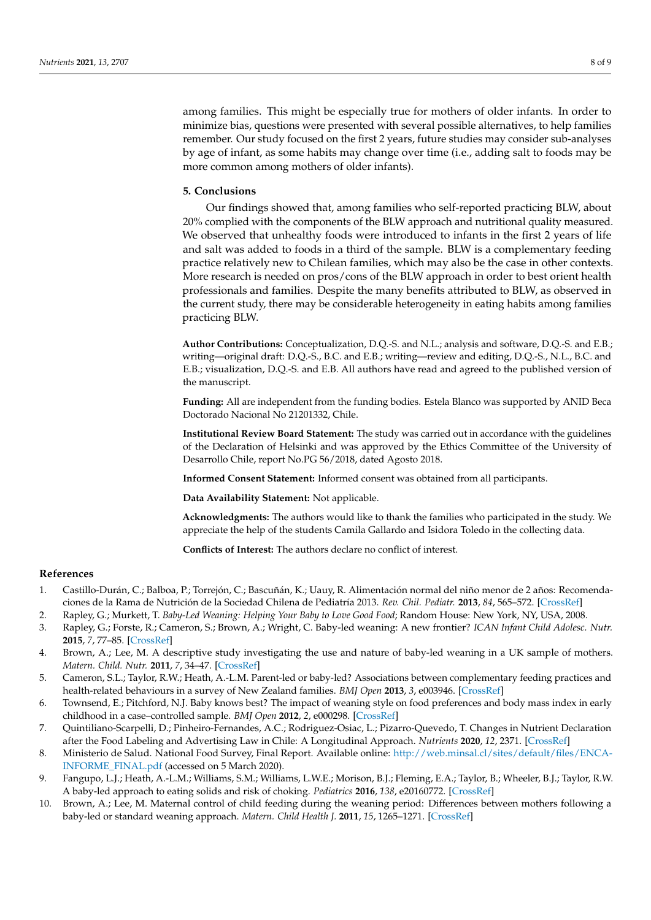among families. This might be especially true for mothers of older infants. In order to minimize bias, questions were presented with several possible alternatives, to help families remember. Our study focused on the first 2 years, future studies may consider sub-analyses by age of infant, as some habits may change over time (i.e., adding salt to foods may be more common among mothers of older infants).

## **5. Conclusions**

Our findings showed that, among families who self-reported practicing BLW, about 20% complied with the components of the BLW approach and nutritional quality measured. We observed that unhealthy foods were introduced to infants in the first 2 years of life and salt was added to foods in a third of the sample. BLW is a complementary feeding practice relatively new to Chilean families, which may also be the case in other contexts. More research is needed on pros/cons of the BLW approach in order to best orient health professionals and families. Despite the many benefits attributed to BLW, as observed in the current study, there may be considerable heterogeneity in eating habits among families practicing BLW.

**Author Contributions:** Conceptualization, D.Q.-S. and N.L.; analysis and software, D.Q.-S. and E.B.; writing—original draft: D.Q.-S., B.C. and E.B.; writing—review and editing, D.Q.-S., N.L., B.C. and E.B.; visualization, D.Q.-S. and E.B. All authors have read and agreed to the published version of the manuscript.

**Funding:** All are independent from the funding bodies. Estela Blanco was supported by ANID Beca Doctorado Nacional No 21201332, Chile.

**Institutional Review Board Statement:** The study was carried out in accordance with the guidelines of the Declaration of Helsinki and was approved by the Ethics Committee of the University of Desarrollo Chile, report No.PG 56/2018, dated Agosto 2018.

**Informed Consent Statement:** Informed consent was obtained from all participants.

**Data Availability Statement:** Not applicable.

**Acknowledgments:** The authors would like to thank the families who participated in the study. We appreciate the help of the students Camila Gallardo and Isidora Toledo in the collecting data.

**Conflicts of Interest:** The authors declare no conflict of interest.

#### **References**

- <span id="page-7-0"></span>1. Castillo-Durán, C.; Balboa, P.; Torrejón, C.; Bascuñán, K.; Uauy, R. Alimentación normal del niño menor de 2 años: Recomendaciones de la Rama de Nutrición de la Sociedad Chilena de Pediatría 2013. *Rev. Chil. Pediatr.* **2013**, *84*, 565–572. [\[CrossRef\]](http://doi.org/10.4067/S0370-41062013000500013)
- <span id="page-7-1"></span>2. Rapley, G.; Murkett, T. *Baby-Led Weaning: Helping Your Baby to Love Good Food*; Random House: New York, NY, USA, 2008.
- <span id="page-7-2"></span>3. Rapley, G.; Forste, R.; Cameron, S.; Brown, A.; Wright, C. Baby-led weaning: A new frontier? *ICAN Infant Child Adolesc. Nutr.* **2015**, *7*, 77–85. [\[CrossRef\]](http://doi.org/10.1177/1941406415575931)
- <span id="page-7-3"></span>4. Brown, A.; Lee, M. A descriptive study investigating the use and nature of baby-led weaning in a UK sample of mothers. *Matern. Child. Nutr.* **2011**, *7*, 34–47. [\[CrossRef\]](http://doi.org/10.1111/j.1740-8709.2010.00243.x)
- 5. Cameron, S.L.; Taylor, R.W.; Heath, A.-L.M. Parent-led or baby-led? Associations between complementary feeding practices and health-related behaviours in a survey of New Zealand families. *BMJ Open* **2013**, *3*, e003946. [\[CrossRef\]](http://doi.org/10.1136/bmjopen-2013-003946)
- <span id="page-7-4"></span>6. Townsend, E.; Pitchford, N.J. Baby knows best? The impact of weaning style on food preferences and body mass index in early childhood in a case–controlled sample. *BMJ Open* **2012**, *2*, e000298. [\[CrossRef\]](http://doi.org/10.1136/bmjopen-2011-000298)
- <span id="page-7-5"></span>7. Quintiliano-Scarpelli, D.; Pinheiro-Fernandes, A.C.; Rodriguez-Osiac, L.; Pizarro-Quevedo, T. Changes in Nutrient Declaration after the Food Labeling and Advertising Law in Chile: A Longitudinal Approach. *Nutrients* **2020**, *12*, 2371. [\[CrossRef\]](http://doi.org/10.3390/nu12082371)
- <span id="page-7-6"></span>8. Ministerio de Salud. National Food Survey, Final Report. Available online: [http://web.minsal.cl/sites/default/files/ENCA-](http://web.minsal.cl/sites/default/files/ENCA-INFORME_FINAL.pdf)[INFORME\\_FINAL.pdf](http://web.minsal.cl/sites/default/files/ENCA-INFORME_FINAL.pdf) (accessed on 5 March 2020).
- <span id="page-7-7"></span>9. Fangupo, L.J.; Heath, A.-L.M.; Williams, S.M.; Williams, L.W.E.; Morison, B.J.; Fleming, E.A.; Taylor, B.; Wheeler, B.J.; Taylor, R.W. A baby-led approach to eating solids and risk of choking. *Pediatrics* **2016**, *138*, e20160772. [\[CrossRef\]](http://doi.org/10.1542/peds.2016-0772)
- <span id="page-7-8"></span>10. Brown, A.; Lee, M. Maternal control of child feeding during the weaning period: Differences between mothers following a baby-led or standard weaning approach. *Matern. Child Health J.* **2011**, *15*, 1265–1271. [\[CrossRef\]](http://doi.org/10.1007/s10995-010-0678-4)